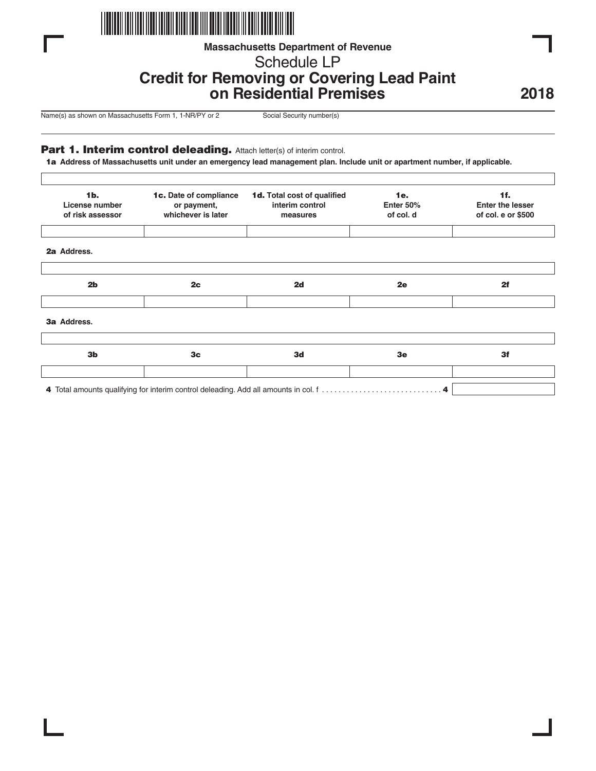

# **Massachusetts Department of Revenue**

Schedule LP

# **Credit for Removing or Covering Lead Paint on Residential Premises**

**2018**

Name(s) as shown on Massachusetts Form 1, 1-NR/PY or 2 Social Security number(s)

## Part 1. Interim control deleading. Attach letter(s) of interim control.

11a **Address of Massachusetts unit under an emergency lead management plan. Include unit or apartment number, if applicable.**

| 1 <sub>b</sub><br>License number<br>of risk assessor | 1c. Date of compliance<br>or payment,<br>whichever is later | 1d. Total cost of qualified<br>interim control<br>measures | <b>1e.</b><br>Enter 50%<br>of col. d | 1f <sub>r</sub><br><b>Enter the lesser</b><br>of col. e or \$500 |
|------------------------------------------------------|-------------------------------------------------------------|------------------------------------------------------------|--------------------------------------|------------------------------------------------------------------|
| 2a Address.                                          |                                                             |                                                            |                                      |                                                                  |
| 2 <sub>b</sub>                                       | 2c                                                          | 2d                                                         | 2e                                   | 2f                                                               |
| 3a Address.                                          |                                                             |                                                            |                                      |                                                                  |
| 3 <sub>b</sub>                                       | 3 <sub>c</sub>                                              | 3d                                                         | 3 <sub>e</sub>                       | 3f                                                               |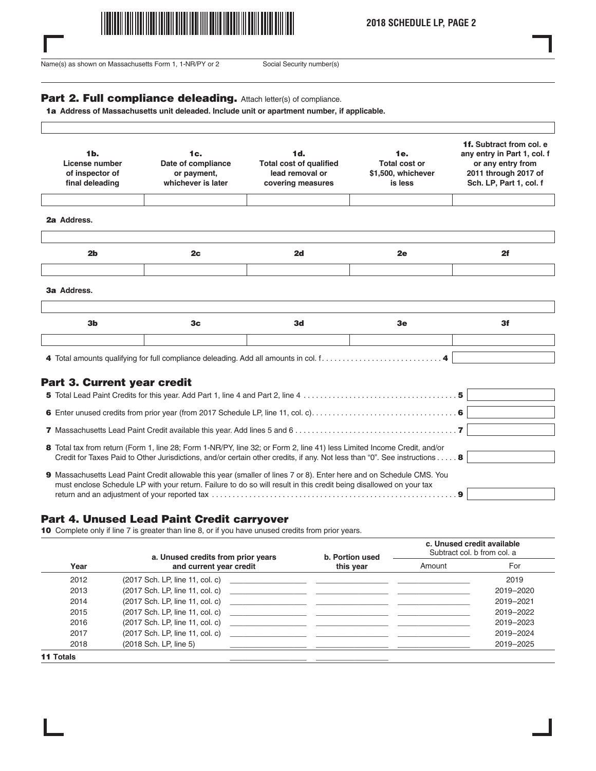

**2018 SCHEDULE LP, PAGE 2**

Name(s) as shown on Massachusetts Form 1, 1-NR/PY or 2 Social Security number(s)

 $\Gamma$ 

#### Part 2. Full compliance deleading. Attach letter(s) of compliance.

1a Address of Massachusetts unit deleaded. Include unit or apartment number, if applicable.

| 1 <sub>b</sub><br>License number<br>of inspector of<br>final deleading | 1c.<br>Date of compliance<br>or payment,<br>whichever is later | 1d.<br><b>Total cost of qualified</b><br>lead removal or<br>covering measures       | 1e.<br><b>Total cost or</b><br>\$1,500, whichever<br>is less | 1f. Subtract from col. e.<br>any entry in Part 1, col. f<br>or any entry from<br>2011 through 2017 of<br>Sch. LP, Part 1, col. f |
|------------------------------------------------------------------------|----------------------------------------------------------------|-------------------------------------------------------------------------------------|--------------------------------------------------------------|----------------------------------------------------------------------------------------------------------------------------------|
| 2a Address.                                                            |                                                                |                                                                                     |                                                              |                                                                                                                                  |
| 2 <sub>b</sub>                                                         | 2 <sub>c</sub>                                                 | 2d                                                                                  | 2e                                                           | 2f                                                                                                                               |
| 3a Address.                                                            |                                                                |                                                                                     |                                                              |                                                                                                                                  |
| 3 <sub>b</sub>                                                         | 3 <sub>c</sub>                                                 | 3d                                                                                  | 3e                                                           | 3f                                                                                                                               |
|                                                                        |                                                                | 4 Total amounts qualifying for full compliance deleading. Add all amounts in col. f | 4                                                            |                                                                                                                                  |

# Part 3. Current year credit

| 8 Total tax from return (Form 1, line 28; Form 1-NR/PY, line 32; or Form 2, line 41) less Limited Income Credit, and/or<br>Credit for Taxes Paid to Other Jurisdictions, and/or certain other credits, if any. Not less than "0". See instructions 8 |  |
|------------------------------------------------------------------------------------------------------------------------------------------------------------------------------------------------------------------------------------------------------|--|
| 9 Massachusetts Lead Paint Credit allowable this year (smaller of lines 7 or 8). Enter here and on Schedule CMS. You<br>must enclose Schedule LP with your return. Failure to do so will result in this credit being disallowed on your tax          |  |

## Part 4. Unused Lead Paint Credit carryover

10 Complete only if line 7 is greater than line 8, or if you have unused credits from prior years.

|                  | a. Unused credits from prior years                       | b. Portion used<br>this year                                       | c. Unused credit available<br>Subtract col. b from col. a |           |
|------------------|----------------------------------------------------------|--------------------------------------------------------------------|-----------------------------------------------------------|-----------|
| Year             | and current year credit                                  |                                                                    | Amount                                                    | For       |
| 2012             | (2017 Sch. LP, line 11, col. c)                          | <u> 1980 - Jan Samuel Barbara, margaret eta idazlea (h. 1980).</u> |                                                           | 2019      |
| 2013             |                                                          |                                                                    |                                                           | 2019-2020 |
| 2014             | (2017 Sch. LP, line 11, col. c)                          | <u> 1980 - Andrea Andrew Amerikaanse kommunister (h. 1980).</u>    |                                                           | 2019-2021 |
| 2015             | $(2017 \text{ Sch. LP}, \text{line } 11, \text{col. c})$ |                                                                    |                                                           | 2019-2022 |
| 2016             | (2017 Sch. LP, line 11, col. c)                          | <u> 1980 - Andrea Andrew Maria (b. 1980)</u>                       |                                                           | 2019-2023 |
| 2017             | (2017 Sch. LP, line 11, col. c)                          | <u> 1980 - Jan Stein, amerikansk politiker (d. 1980)</u>           |                                                           | 2019-2024 |
| 2018             | (2018 Sch. LP, line 5)                                   |                                                                    |                                                           | 2019-2025 |
| <b>11 Totals</b> |                                                          |                                                                    |                                                           |           |